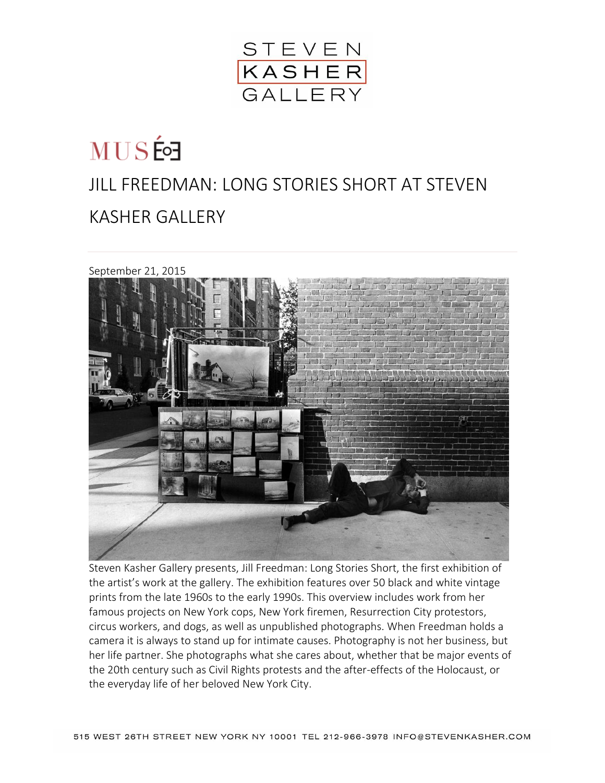

## **MUSÉ** JILL FREEDMAN: LONG STORIES SHORT AT STEVEN KASHER GALLERY



Steven Kasher Gallery presents, Jill Freedman: Long Stories Short, the first exhibition of the artist's work at the gallery. The exhibition features over 50 black and white vintage prints from the late 1960s to the early 1990s. This overview includes work from her famous projects on New York cops, New York firemen, Resurrection City protestors, circus workers, and dogs, as well as unpublished photographs. When Freedman holds a camera it is always to stand up for intimate causes. Photography is not her business, but her life partner. She photographs what she cares about, whether that be major events of the 20th century such as Civil Rights protests and the after-effects of the Holocaust, or the everyday life of her beloved New York City.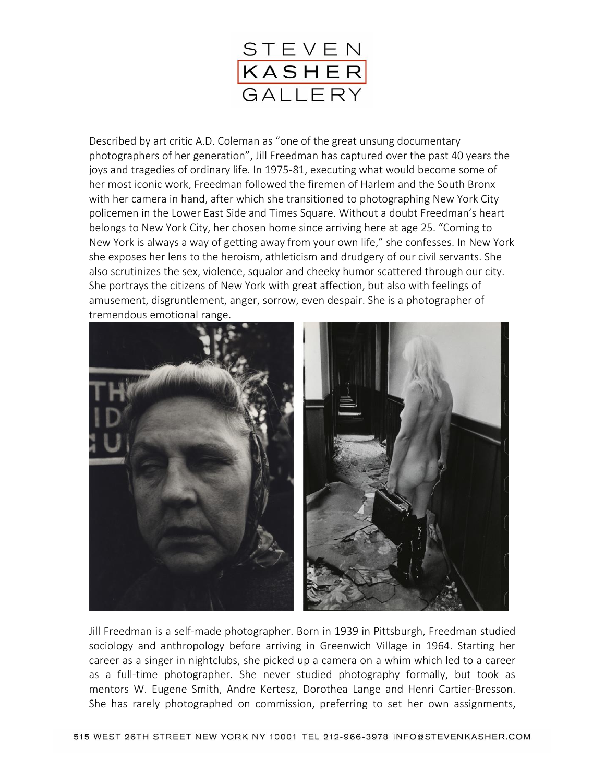

Described by art critic A.D. Coleman as "one of the great unsung documentary photographers of her generation", Jill Freedman has captured over the past 40 years the joys and tragedies of ordinary life. In 1975-81, executing what would become some of her most iconic work, Freedman followed the firemen of Harlem and the South Bronx with her camera in hand, after which she transitioned to photographing New York City policemen in the Lower East Side and Times Square. Without a doubt Freedman's heart belongs to New York City, her chosen home since arriving here at age 25. "Coming to New York is always a way of getting away from your own life," she confesses. In New York she exposes her lens to the heroism, athleticism and drudgery of our civil servants. She also scrutinizes the sex, violence, squalor and cheeky humor scattered through our city. She portrays the citizens of New York with great affection, but also with feelings of amusement, disgruntlement, anger, sorrow, even despair. She is a photographer of tremendous emotional range.



Jill Freedman is a self-made photographer. Born in 1939 in Pittsburgh, Freedman studied sociology and anthropology before arriving in Greenwich Village in 1964. Starting her career as a singer in nightclubs, she picked up a camera on a whim which led to a career as a full-time photographer. She never studied photography formally, but took as mentors W. Eugene Smith, Andre Kertesz, Dorothea Lange and Henri Cartier-Bresson. She has rarely photographed on commission, preferring to set her own assignments,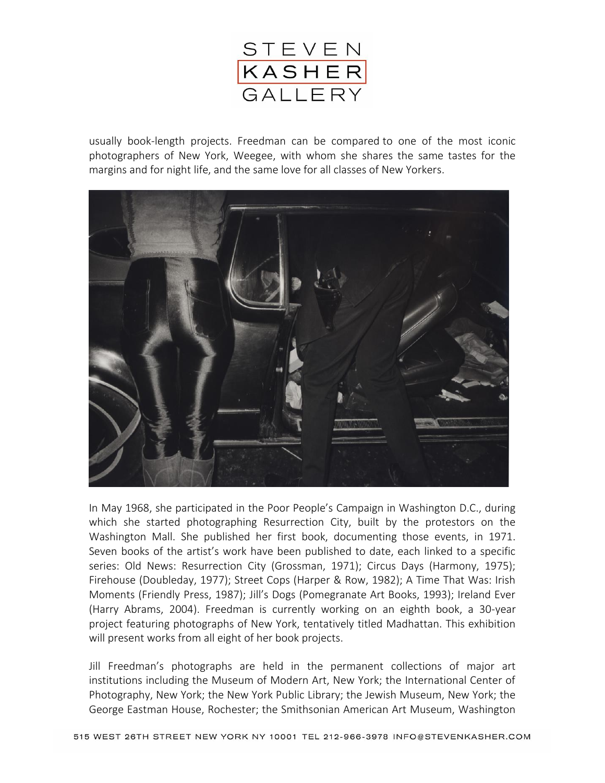

usually book-length projects. Freedman can be compared to one of the most iconic photographers of New York, Weegee, with whom she shares the same tastes for the margins and for night life, and the same love for all classes of New Yorkers.



In May 1968, she participated in the Poor People's Campaign in Washington D.C., during which she started photographing Resurrection City, built by the protestors on the Washington Mall. She published her first book, documenting those events, in 1971. Seven books of the artist's work have been published to date, each linked to a specific series: Old News: Resurrection City (Grossman, 1971); Circus Days (Harmony, 1975); Firehouse (Doubleday, 1977); Street Cops (Harper & Row, 1982); A Time That Was: Irish Moments (Friendly Press, 1987); Jill's Dogs (Pomegranate Art Books, 1993); Ireland Ever (Harry Abrams, 2004). Freedman is currently working on an eighth book, a 30-year project featuring photographs of New York, tentatively titled Madhattan. This exhibition will present works from all eight of her book projects.

Jill Freedman's photographs are held in the permanent collections of major art institutions including the Museum of Modern Art, New York; the International Center of Photography, New York; the New York Public Library; the Jewish Museum, New York; the George Eastman House, Rochester; the Smithsonian American Art Museum, Washington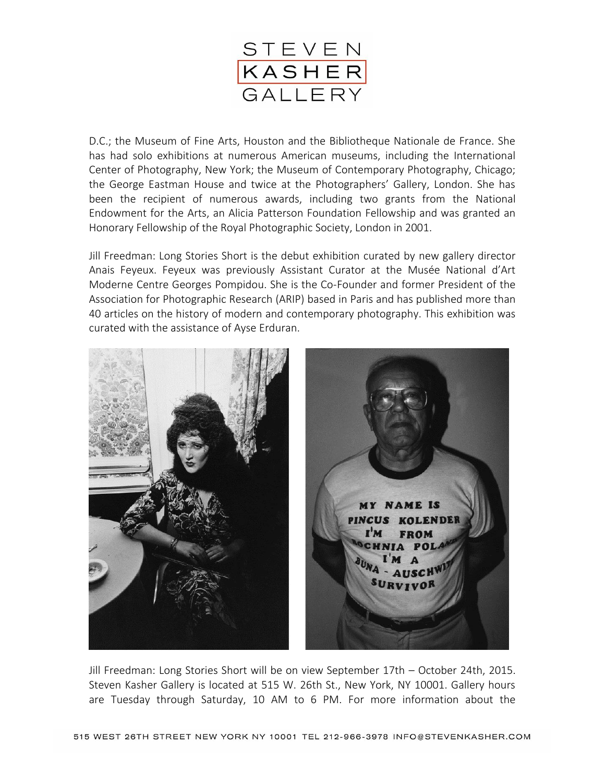

D.C.; the Museum of Fine Arts, Houston and the Bibliotheque Nationale de France. She has had solo exhibitions at numerous American museums, including the International Center of Photography, New York; the Museum of Contemporary Photography, Chicago; the George Eastman House and twice at the Photographers' Gallery, London. She has been the recipient of numerous awards, including two grants from the National Endowment for the Arts, an Alicia Patterson Foundation Fellowship and was granted an Honorary Fellowship of the Royal Photographic Society, London in 2001.

Jill Freedman: Long Stories Short is the debut exhibition curated by new gallery director Anais Feyeux. Feyeux was previously Assistant Curator at the Musée National d'Art Moderne Centre Georges Pompidou. She is the Co-Founder and former President of the Association for Photographic Research (ARIP) based in Paris and has published more than 40 articles on the history of modern and contemporary photography. This exhibition was curated with the assistance of Ayse Erduran.



Jill Freedman: Long Stories Short will be on view September 17th – October 24th, 2015. Steven Kasher Gallery is located at 515 W. 26th St., New York, NY 10001. Gallery hours are Tuesday through Saturday, 10 AM to 6 PM. For more information about the